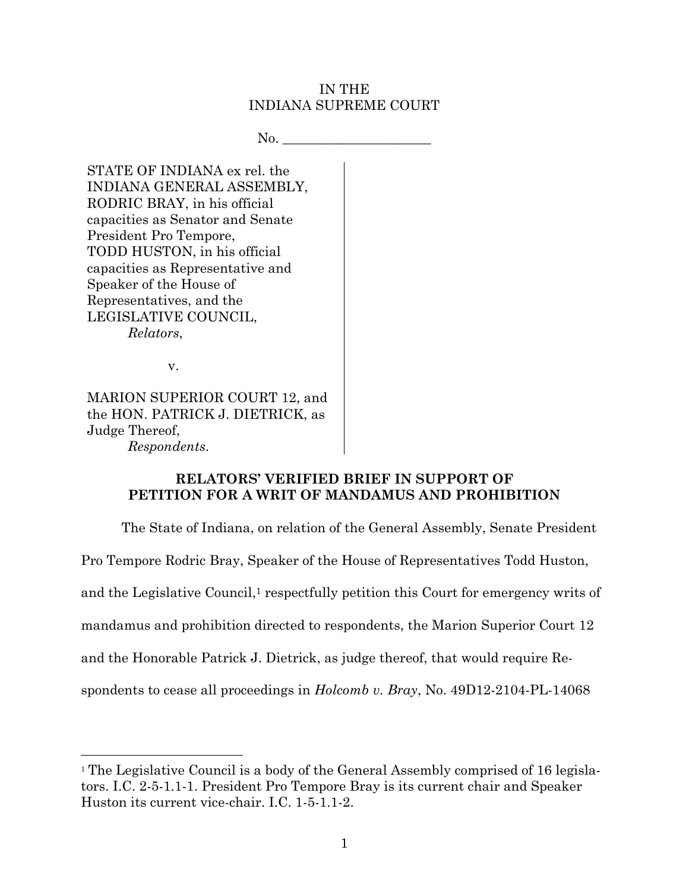### IN THE INDIANA SUPREME COURT

 $No.$ 

STATE OF INDIANA ex rel. the INDIANA GENERAL ASSEMBLY, RODRIC BRAY, in his official capacities as Senator and Senate President Pro Tempore, TODD HUSTON, in his official capacities as Representative and Speaker of the House of Representatives, and the LEGISLATIVE COUNCIL, *Relators*,

v.

l

MARION SUPERIOR COURT 12, and the HON. PATRICK J. DIETRICK, as Judge Thereof, *Respondents*.

# **RELATORS' VERIFIED BRIEF IN SUPPORT OF PETITION FOR A WRIT OF MANDAMUS AND PROHIBITION**

The State of Indiana, on relation of the General Assembly, Senate President Pro Tempore Rodric Bray, Speaker of the House of Representatives Todd Huston, and the Legislative Council, <sup>1</sup> respectfully petition this Court for emergency writs of mandamus and prohibition directed to respondents, the Marion Superior Court 12 and the Honorable Patrick J. Dietrick, as judge thereof, that would require Respondents to cease all proceedings in *Holcomb v. Bray*, No. 49D12-2104-PL-14068

<sup>1</sup> The Legislative Council is a body of the General Assembly comprised of 16 legislators. I.C. 2-5-1.1-1. President Pro Tempore Bray is its current chair and Speaker Huston its current vice-chair. I.C. 1-5-1.1-2.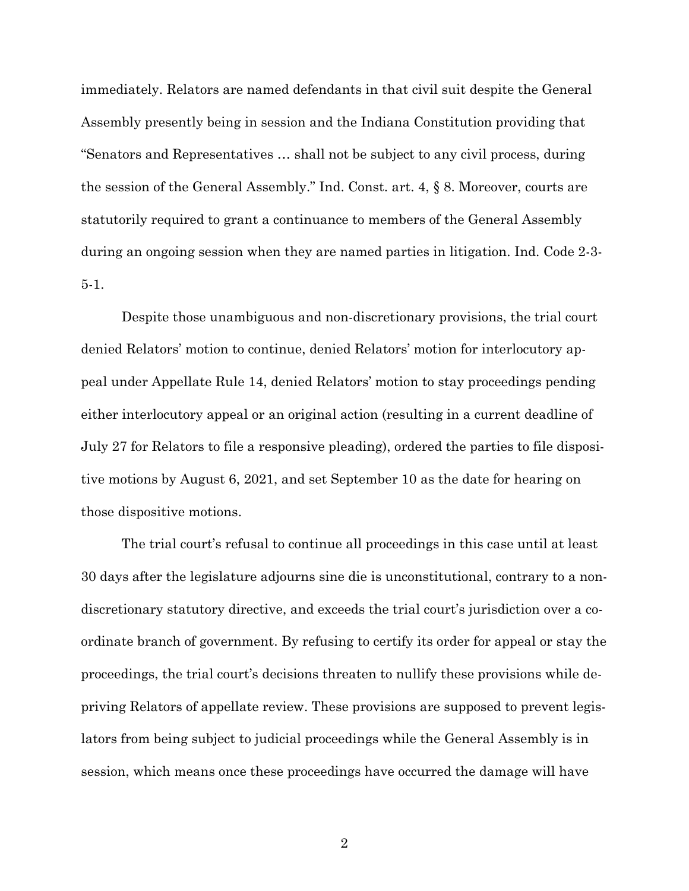immediately. Relators are named defendants in that civil suit despite the General Assembly presently being in session and the Indiana Constitution providing that "Senators and Representatives … shall not be subject to any civil process, during the session of the General Assembly." Ind. Const. art. 4, § 8. Moreover, courts are statutorily required to grant a continuance to members of the General Assembly during an ongoing session when they are named parties in litigation. Ind. Code 2-3- 5-1.

Despite those unambiguous and non-discretionary provisions, the trial court denied Relators' motion to continue, denied Relators' motion for interlocutory appeal under Appellate Rule 14, denied Relators' motion to stay proceedings pending either interlocutory appeal or an original action (resulting in a current deadline of July 27 for Relators to file a responsive pleading), ordered the parties to file dispositive motions by August 6, 2021, and set September 10 as the date for hearing on those dispositive motions.

The trial court's refusal to continue all proceedings in this case until at least 30 days after the legislature adjourns sine die is unconstitutional, contrary to a nondiscretionary statutory directive, and exceeds the trial court's jurisdiction over a coordinate branch of government. By refusing to certify its order for appeal or stay the proceedings, the trial court's decisions threaten to nullify these provisions while depriving Relators of appellate review. These provisions are supposed to prevent legislators from being subject to judicial proceedings while the General Assembly is in session, which means once these proceedings have occurred the damage will have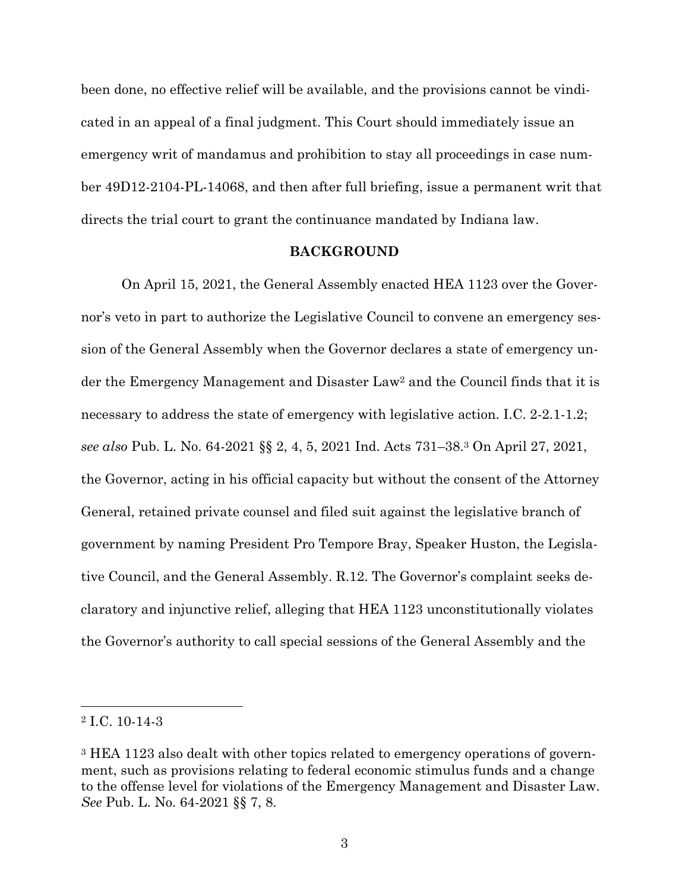been done, no effective relief will be available, and the provisions cannot be vindicated in an appeal of a final judgment. This Court should immediately issue an emergency writ of mandamus and prohibition to stay all proceedings in case number 49D12-2104-PL-14068, and then after full briefing, issue a permanent writ that directs the trial court to grant the continuance mandated by Indiana law.

#### **BACKGROUND**

On April 15, 2021, the General Assembly enacted HEA 1123 over the Governor's veto in part to authorize the Legislative Council to convene an emergency session of the General Assembly when the Governor declares a state of emergency under the Emergency Management and Disaster Law<sup>2</sup> and the Council finds that it is necessary to address the state of emergency with legislative action. I.C. 2-2.1-1.2; *see also* Pub. L. No. 64-2021 §§ 2, 4, 5, 2021 Ind. Acts 731–38. <sup>3</sup> On April 27, 2021, the Governor, acting in his official capacity but without the consent of the Attorney General, retained private counsel and filed suit against the legislative branch of government by naming President Pro Tempore Bray, Speaker Huston, the Legislative Council, and the General Assembly. R.12. The Governor's complaint seeks declaratory and injunctive relief, alleging that HEA 1123 unconstitutionally violates the Governor's authority to call special sessions of the General Assembly and the

l

<sup>2</sup> I.C. 10-14-3

<sup>3</sup> HEA 1123 also dealt with other topics related to emergency operations of government, such as provisions relating to federal economic stimulus funds and a change to the offense level for violations of the Emergency Management and Disaster Law. *See* Pub. L. No. 64-2021 §§ 7, 8.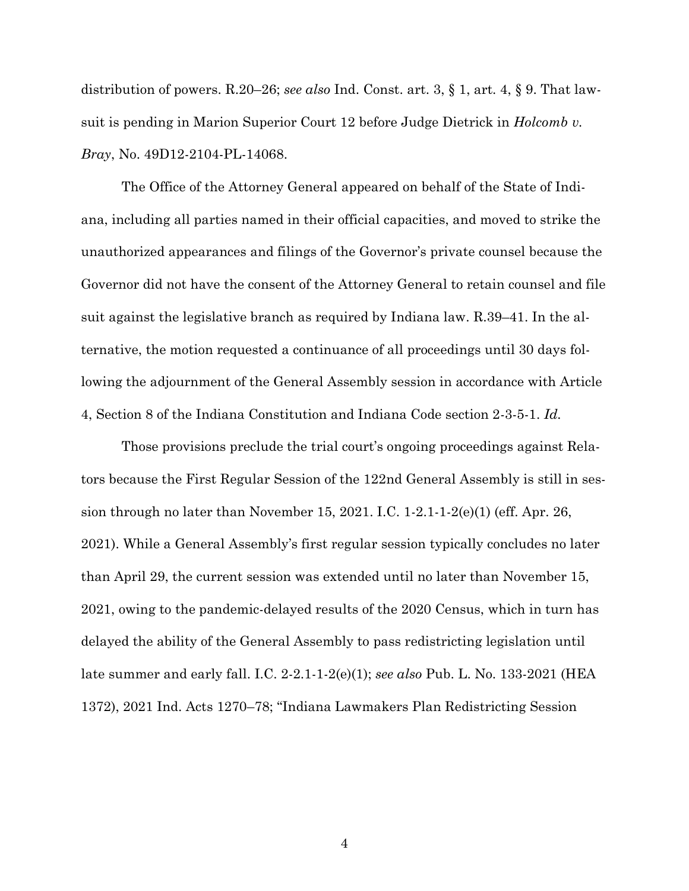distribution of powers. R.20–26; *see also* Ind. Const. art. 3, § 1, art. 4, § 9. That lawsuit is pending in Marion Superior Court 12 before Judge Dietrick in *Holcomb v. Bray*, No. 49D12-2104-PL-14068.

The Office of the Attorney General appeared on behalf of the State of Indiana, including all parties named in their official capacities, and moved to strike the unauthorized appearances and filings of the Governor's private counsel because the Governor did not have the consent of the Attorney General to retain counsel and file suit against the legislative branch as required by Indiana law. R.39–41. In the alternative, the motion requested a continuance of all proceedings until 30 days following the adjournment of the General Assembly session in accordance with Article 4, Section 8 of the Indiana Constitution and Indiana Code section 2-3-5-1. *Id.*

Those provisions preclude the trial court's ongoing proceedings against Relators because the First Regular Session of the 122nd General Assembly is still in session through no later than November 15, 2021. I.C. 1-2.1-1-2(e)(1) (eff. Apr. 26, 2021). While a General Assembly's first regular session typically concludes no later than April 29, the current session was extended until no later than November 15, 2021, owing to the pandemic-delayed results of the 2020 Census, which in turn has delayed the ability of the General Assembly to pass redistricting legislation until late summer and early fall. I.C. 2-2.1-1-2(e)(1); *see also* Pub. L. No. 133-2021 (HEA 1372), 2021 Ind. Acts 1270–78; "Indiana Lawmakers Plan Redistricting Session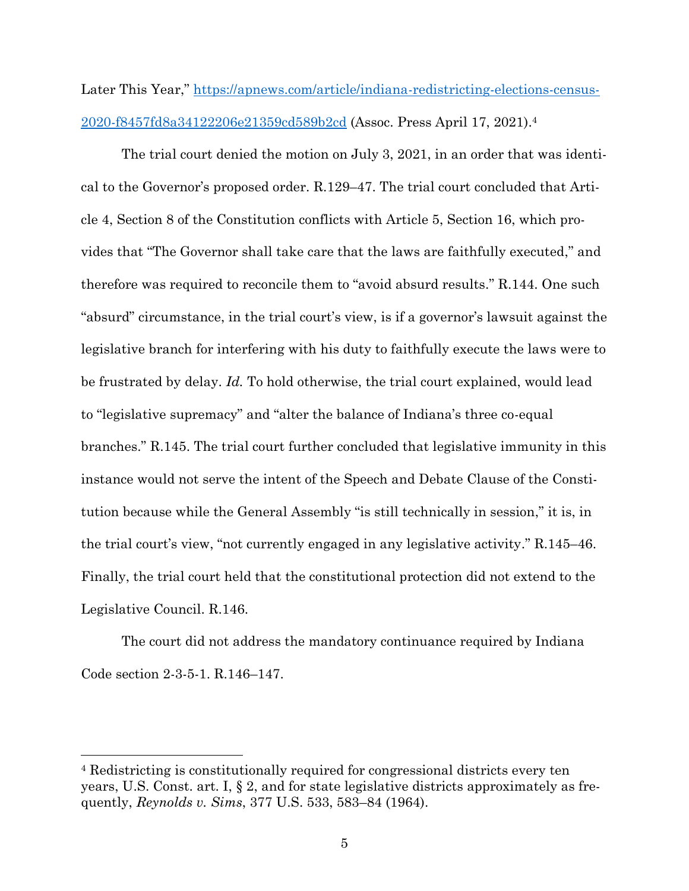Later This Year," [https://apnews.com/article/indiana-redistricting-elections-census-](https://apnews.com/article/indiana-redistricting-elections-census-2020-f8457fd8a34122206e21359cd589b2cd)[2020-f8457fd8a34122206e21359cd589b2cd](https://apnews.com/article/indiana-redistricting-elections-census-2020-f8457fd8a34122206e21359cd589b2cd) (Assoc. Press April 17, 2021).<sup>4</sup>

The trial court denied the motion on July 3, 2021, in an order that was identical to the Governor's proposed order. R.129–47. The trial court concluded that Article 4, Section 8 of the Constitution conflicts with Article 5, Section 16, which provides that "The Governor shall take care that the laws are faithfully executed," and therefore was required to reconcile them to "avoid absurd results." R.144. One such "absurd" circumstance, in the trial court's view, is if a governor's lawsuit against the legislative branch for interfering with his duty to faithfully execute the laws were to be frustrated by delay. *Id.* To hold otherwise, the trial court explained, would lead to "legislative supremacy" and "alter the balance of Indiana's three co-equal branches." R.145. The trial court further concluded that legislative immunity in this instance would not serve the intent of the Speech and Debate Clause of the Constitution because while the General Assembly "is still technically in session," it is, in the trial court's view, "not currently engaged in any legislative activity." R.145–46. Finally, the trial court held that the constitutional protection did not extend to the Legislative Council. R.146.

The court did not address the mandatory continuance required by Indiana Code section 2-3-5-1. R.146–147.

l

<sup>4</sup> Redistricting is constitutionally required for congressional districts every ten years, U.S. Const. art. I, § 2, and for state legislative districts approximately as frequently, *Reynolds v. Sims*, 377 U.S. 533, 583–84 (1964).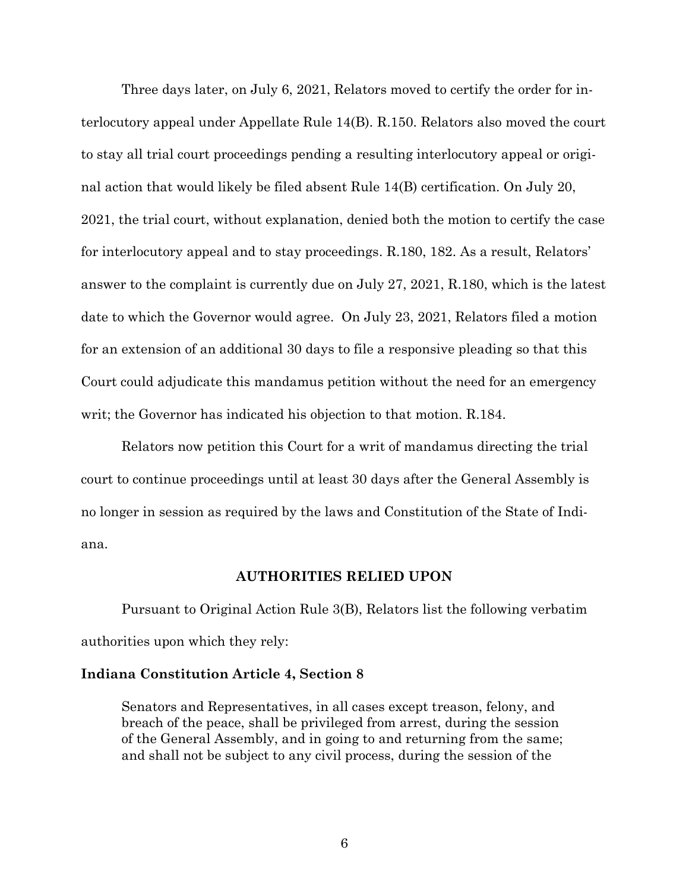Three days later, on July 6, 2021, Relators moved to certify the order for interlocutory appeal under Appellate Rule 14(B). R.150. Relators also moved the court to stay all trial court proceedings pending a resulting interlocutory appeal or original action that would likely be filed absent Rule 14(B) certification. On July 20, 2021, the trial court, without explanation, denied both the motion to certify the case for interlocutory appeal and to stay proceedings. R.180, 182. As a result, Relators' answer to the complaint is currently due on July 27, 2021, R.180, which is the latest date to which the Governor would agree. On July 23, 2021, Relators filed a motion for an extension of an additional 30 days to file a responsive pleading so that this Court could adjudicate this mandamus petition without the need for an emergency writ; the Governor has indicated his objection to that motion. R.184.

Relators now petition this Court for a writ of mandamus directing the trial court to continue proceedings until at least 30 days after the General Assembly is no longer in session as required by the laws and Constitution of the State of Indiana.

### **AUTHORITIES RELIED UPON**

Pursuant to Original Action Rule 3(B), Relators list the following verbatim authorities upon which they rely:

#### **Indiana Constitution Article 4, Section 8**

Senators and Representatives, in all cases except treason, felony, and breach of the peace, shall be privileged from arrest, during the session of the General Assembly, and in going to and returning from the same; and shall not be subject to any civil process, during the session of the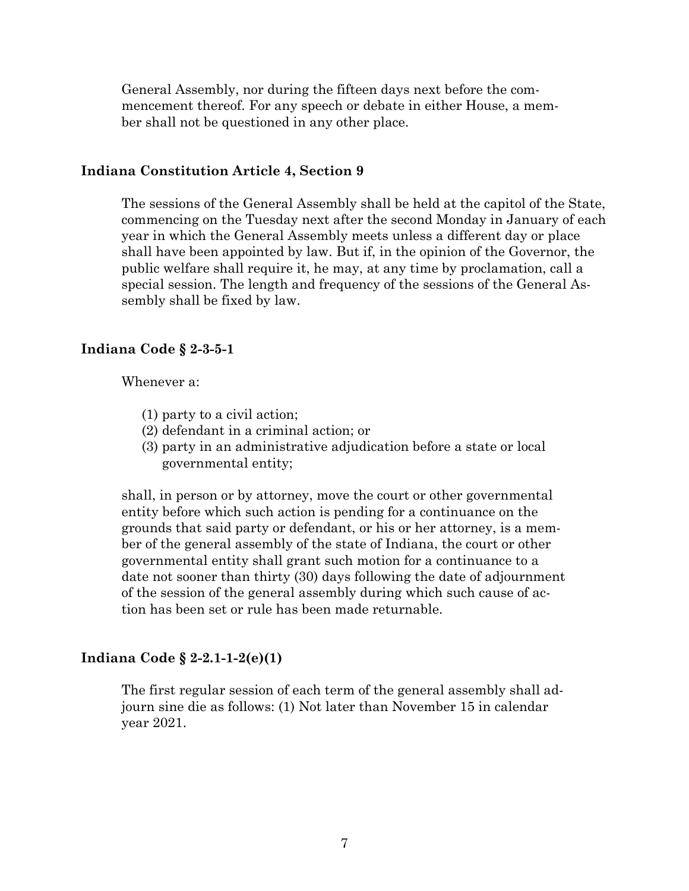General Assembly, nor during the fifteen days next before the commencement thereof. For any speech or debate in either House, a member shall not be questioned in any other place.

### **Indiana Constitution Article 4, Section 9**

The sessions of the General Assembly shall be held at the capitol of the State, commencing on the Tuesday next after the second Monday in January of each year in which the General Assembly meets unless a different day or place shall have been appointed by law. But if, in the opinion of the Governor, the public welfare shall require it, he may, at any time by proclamation, call a special session. The length and frequency of the sessions of the General Assembly shall be fixed by law.

### **Indiana Code § 2-3-5-1**

Whenever a:

- (1) party to a civil action;
- (2) defendant in a criminal action; or
- (3) party in an administrative adjudication before a state or local governmental entity;

shall, in person or by attorney, move the court or other governmental entity before which such action is pending for a continuance on the grounds that said party or defendant, or his or her attorney, is a member of the general assembly of the state of Indiana, the court or other governmental entity shall grant such motion for a continuance to a date not sooner than thirty (30) days following the date of adjournment of the session of the general assembly during which such cause of action has been set or rule has been made returnable.

### **Indiana Code § 2-2.1-1-2(e)(1)**

The first regular session of each term of the general assembly shall adjourn sine die as follows: (1) Not later than November 15 in calendar year 2021.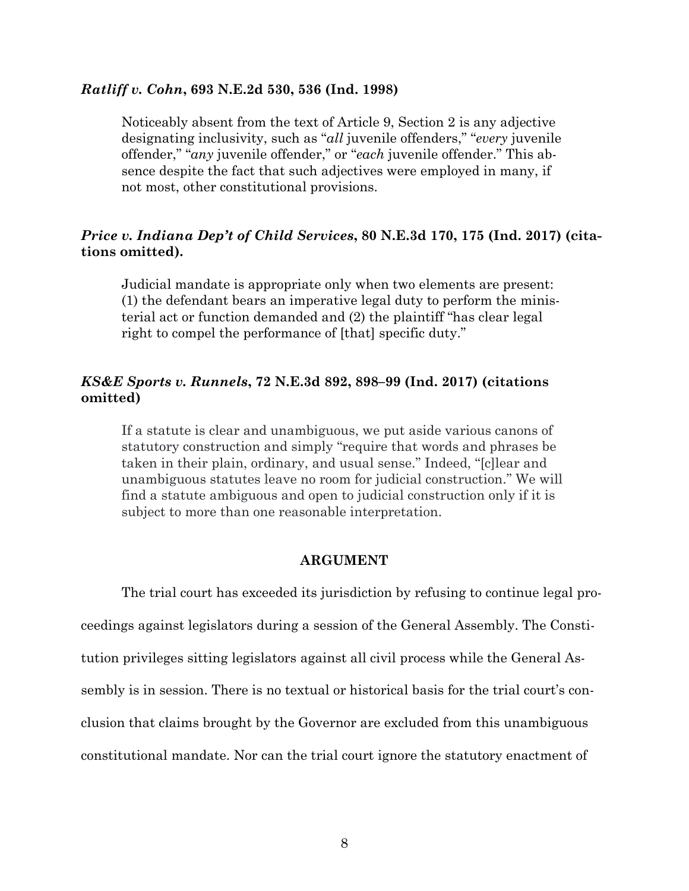#### *Ratliff v. Cohn***, 693 N.E.2d 530, 536 (Ind. 1998)**

Noticeably absent from the text of Article 9, Section 2 is any adjective designating inclusivity, such as "*all* juvenile offenders," "*every* juvenile offender," "*any* juvenile offender," or "*each* juvenile offender." This absence despite the fact that such adjectives were employed in many, if not most, other constitutional provisions.

# *Price v. Indiana Dep't of Child Services***, 80 N.E.3d 170, 175 (Ind. 2017) (citations omitted).**

Judicial mandate is appropriate only when two elements are present: (1) the defendant bears an imperative legal duty to perform the ministerial act or function demanded and (2) the plaintiff "has clear legal right to compel the performance of [that] specific duty."

# *KS&E Sports v. Runnels***, 72 N.E.3d 892, 898–99 (Ind. 2017) (citations omitted)**

If a statute is clear and unambiguous, we put aside various canons of statutory construction and simply "require that words and phrases be taken in their plain, ordinary, and usual sense." Indeed, "[c]lear and unambiguous statutes leave no room for judicial construction." We will find a statute ambiguous and open to judicial construction only if it is subject to more than one reasonable interpretation.

#### **ARGUMENT**

The trial court has exceeded its jurisdiction by refusing to continue legal proceedings against legislators during a session of the General Assembly. The Constitution privileges sitting legislators against all civil process while the General Assembly is in session. There is no textual or historical basis for the trial court's conclusion that claims brought by the Governor are excluded from this unambiguous constitutional mandate. Nor can the trial court ignore the statutory enactment of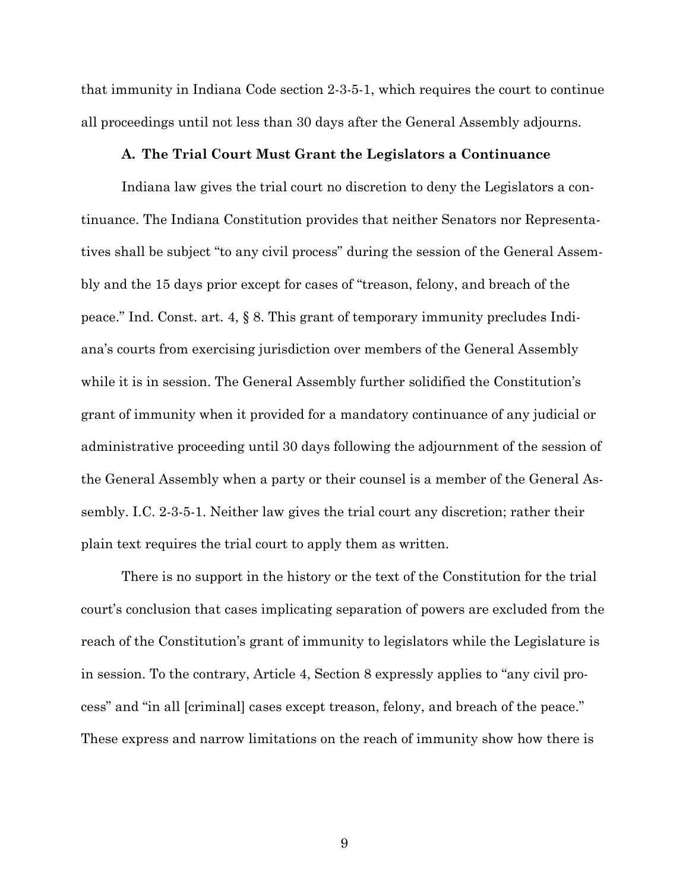that immunity in Indiana Code section 2-3-5-1, which requires the court to continue all proceedings until not less than 30 days after the General Assembly adjourns.

#### **A. The Trial Court Must Grant the Legislators a Continuance**

Indiana law gives the trial court no discretion to deny the Legislators a continuance. The Indiana Constitution provides that neither Senators nor Representatives shall be subject "to any civil process" during the session of the General Assembly and the 15 days prior except for cases of "treason, felony, and breach of the peace." Ind. Const. art. 4, § 8. This grant of temporary immunity precludes Indiana's courts from exercising jurisdiction over members of the General Assembly while it is in session. The General Assembly further solidified the Constitution's grant of immunity when it provided for a mandatory continuance of any judicial or administrative proceeding until 30 days following the adjournment of the session of the General Assembly when a party or their counsel is a member of the General Assembly. I.C. 2-3-5-1. Neither law gives the trial court any discretion; rather their plain text requires the trial court to apply them as written.

There is no support in the history or the text of the Constitution for the trial court's conclusion that cases implicating separation of powers are excluded from the reach of the Constitution's grant of immunity to legislators while the Legislature is in session. To the contrary, Article 4, Section 8 expressly applies to "any civil process" and "in all [criminal] cases except treason, felony, and breach of the peace." These express and narrow limitations on the reach of immunity show how there is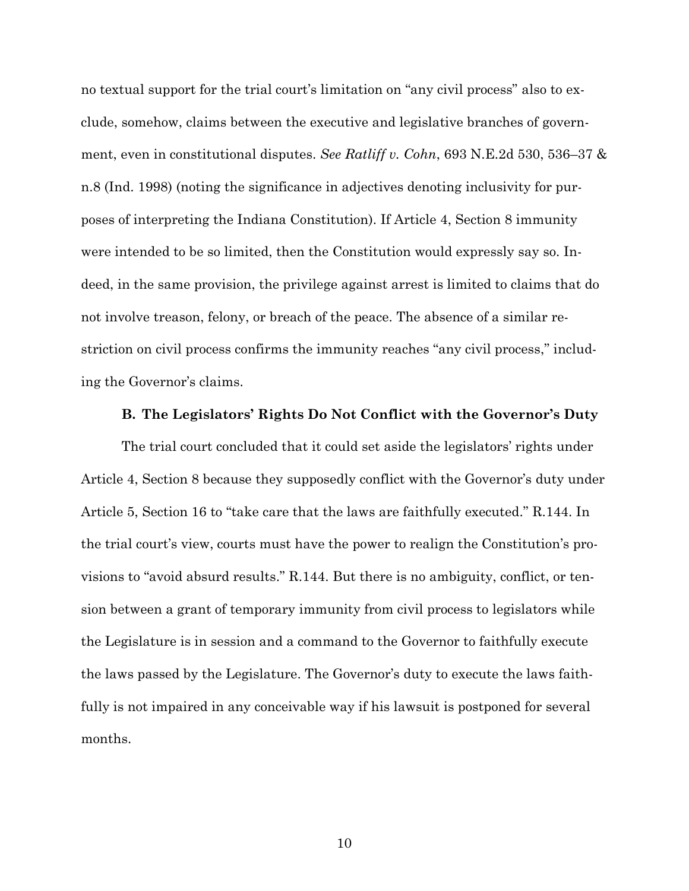no textual support for the trial court's limitation on "any civil process" also to exclude, somehow, claims between the executive and legislative branches of government, even in constitutional disputes. *See Ratliff v. Cohn*, 693 N.E.2d 530, 536–37 & n.8 (Ind. 1998) (noting the significance in adjectives denoting inclusivity for purposes of interpreting the Indiana Constitution). If Article 4, Section 8 immunity were intended to be so limited, then the Constitution would expressly say so. Indeed, in the same provision, the privilege against arrest is limited to claims that do not involve treason, felony, or breach of the peace. The absence of a similar restriction on civil process confirms the immunity reaches "any civil process," including the Governor's claims.

### **B. The Legislators' Rights Do Not Conflict with the Governor's Duty**

The trial court concluded that it could set aside the legislators' rights under Article 4, Section 8 because they supposedly conflict with the Governor's duty under Article 5, Section 16 to "take care that the laws are faithfully executed." R.144. In the trial court's view, courts must have the power to realign the Constitution's provisions to "avoid absurd results." R.144. But there is no ambiguity, conflict, or tension between a grant of temporary immunity from civil process to legislators while the Legislature is in session and a command to the Governor to faithfully execute the laws passed by the Legislature. The Governor's duty to execute the laws faithfully is not impaired in any conceivable way if his lawsuit is postponed for several months.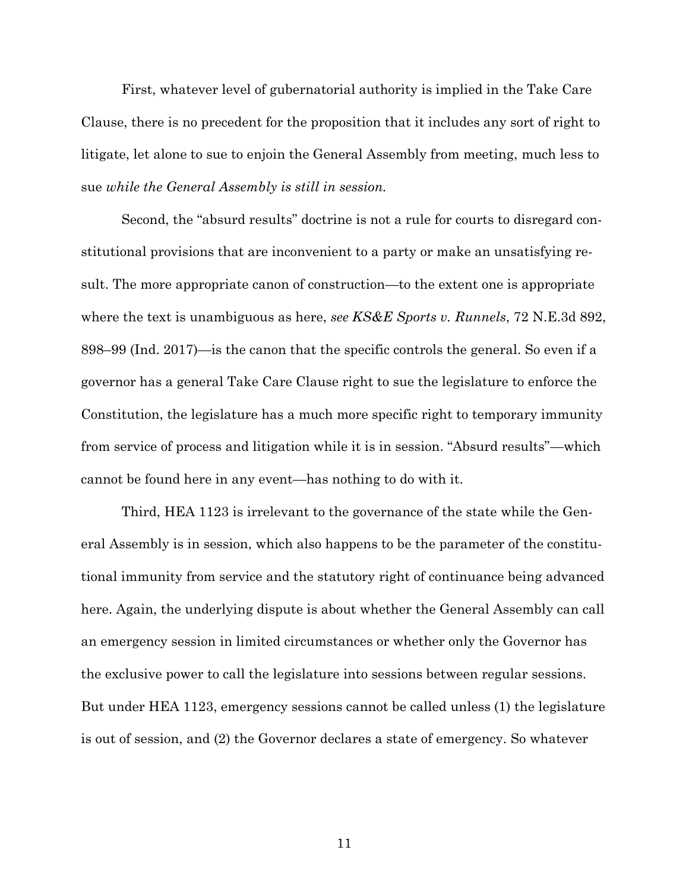First, whatever level of gubernatorial authority is implied in the Take Care Clause, there is no precedent for the proposition that it includes any sort of right to litigate, let alone to sue to enjoin the General Assembly from meeting, much less to sue *while the General Assembly is still in session.*

Second, the "absurd results" doctrine is not a rule for courts to disregard constitutional provisions that are inconvenient to a party or make an unsatisfying result. The more appropriate canon of construction—to the extent one is appropriate where the text is unambiguous as here, *see KS&E Sports v. Runnels*, 72 N.E.3d 892, 898–99 (Ind. 2017)—is the canon that the specific controls the general. So even if a governor has a general Take Care Clause right to sue the legislature to enforce the Constitution, the legislature has a much more specific right to temporary immunity from service of process and litigation while it is in session. "Absurd results"—which cannot be found here in any event—has nothing to do with it.

Third, HEA 1123 is irrelevant to the governance of the state while the General Assembly is in session, which also happens to be the parameter of the constitutional immunity from service and the statutory right of continuance being advanced here. Again, the underlying dispute is about whether the General Assembly can call an emergency session in limited circumstances or whether only the Governor has the exclusive power to call the legislature into sessions between regular sessions. But under HEA 1123, emergency sessions cannot be called unless (1) the legislature is out of session, and (2) the Governor declares a state of emergency. So whatever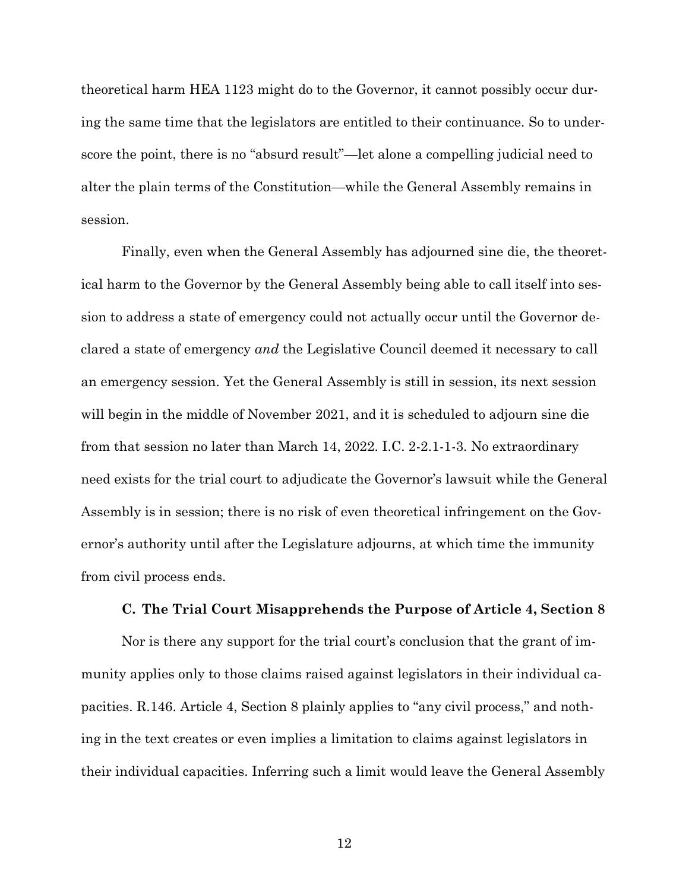theoretical harm HEA 1123 might do to the Governor, it cannot possibly occur during the same time that the legislators are entitled to their continuance. So to underscore the point, there is no "absurd result"—let alone a compelling judicial need to alter the plain terms of the Constitution—while the General Assembly remains in session.

Finally, even when the General Assembly has adjourned sine die, the theoretical harm to the Governor by the General Assembly being able to call itself into session to address a state of emergency could not actually occur until the Governor declared a state of emergency *and* the Legislative Council deemed it necessary to call an emergency session. Yet the General Assembly is still in session, its next session will begin in the middle of November 2021, and it is scheduled to adjourn sine die from that session no later than March 14, 2022. I.C. 2-2.1-1-3. No extraordinary need exists for the trial court to adjudicate the Governor's lawsuit while the General Assembly is in session; there is no risk of even theoretical infringement on the Governor's authority until after the Legislature adjourns, at which time the immunity from civil process ends.

#### **C. The Trial Court Misapprehends the Purpose of Article 4, Section 8**

Nor is there any support for the trial court's conclusion that the grant of immunity applies only to those claims raised against legislators in their individual capacities. R.146. Article 4, Section 8 plainly applies to "any civil process," and nothing in the text creates or even implies a limitation to claims against legislators in their individual capacities. Inferring such a limit would leave the General Assembly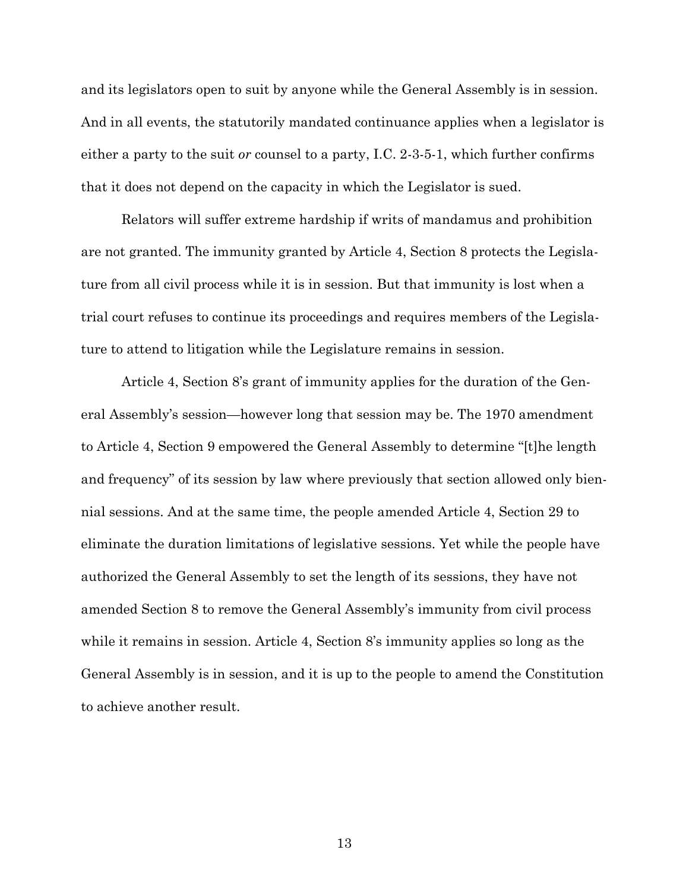and its legislators open to suit by anyone while the General Assembly is in session. And in all events, the statutorily mandated continuance applies when a legislator is either a party to the suit *or* counsel to a party, I.C. 2-3-5-1, which further confirms that it does not depend on the capacity in which the Legislator is sued.

Relators will suffer extreme hardship if writs of mandamus and prohibition are not granted. The immunity granted by Article 4, Section 8 protects the Legislature from all civil process while it is in session. But that immunity is lost when a trial court refuses to continue its proceedings and requires members of the Legislature to attend to litigation while the Legislature remains in session.

Article 4, Section 8's grant of immunity applies for the duration of the General Assembly's session—however long that session may be. The 1970 amendment to Article 4, Section 9 empowered the General Assembly to determine "[t]he length and frequency" of its session by law where previously that section allowed only biennial sessions. And at the same time, the people amended Article 4, Section 29 to eliminate the duration limitations of legislative sessions. Yet while the people have authorized the General Assembly to set the length of its sessions, they have not amended Section 8 to remove the General Assembly's immunity from civil process while it remains in session. Article 4, Section 8's immunity applies so long as the General Assembly is in session, and it is up to the people to amend the Constitution to achieve another result.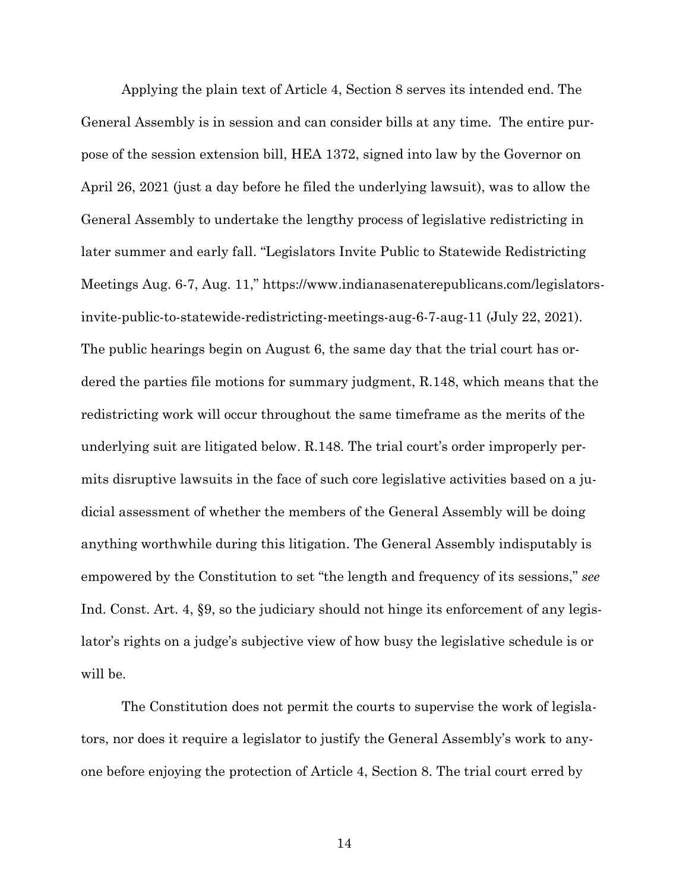Applying the plain text of Article 4, Section 8 serves its intended end. The General Assembly is in session and can consider bills at any time. The entire purpose of the session extension bill, HEA 1372, signed into law by the Governor on April 26, 2021 (just a day before he filed the underlying lawsuit), was to allow the General Assembly to undertake the lengthy process of legislative redistricting in later summer and early fall. "Legislators Invite Public to Statewide Redistricting Meetings Aug. 6-7, Aug. 11," https://www.indianasenaterepublicans.com/legislatorsinvite-public-to-statewide-redistricting-meetings-aug-6-7-aug-11 (July 22, 2021). The public hearings begin on August 6, the same day that the trial court has ordered the parties file motions for summary judgment, R.148, which means that the redistricting work will occur throughout the same timeframe as the merits of the underlying suit are litigated below. R.148. The trial court's order improperly permits disruptive lawsuits in the face of such core legislative activities based on a judicial assessment of whether the members of the General Assembly will be doing anything worthwhile during this litigation. The General Assembly indisputably is empowered by the Constitution to set "the length and frequency of its sessions," *see*  Ind. Const. Art. 4, §9, so the judiciary should not hinge its enforcement of any legislator's rights on a judge's subjective view of how busy the legislative schedule is or will be.

The Constitution does not permit the courts to supervise the work of legislators, nor does it require a legislator to justify the General Assembly's work to anyone before enjoying the protection of Article 4, Section 8. The trial court erred by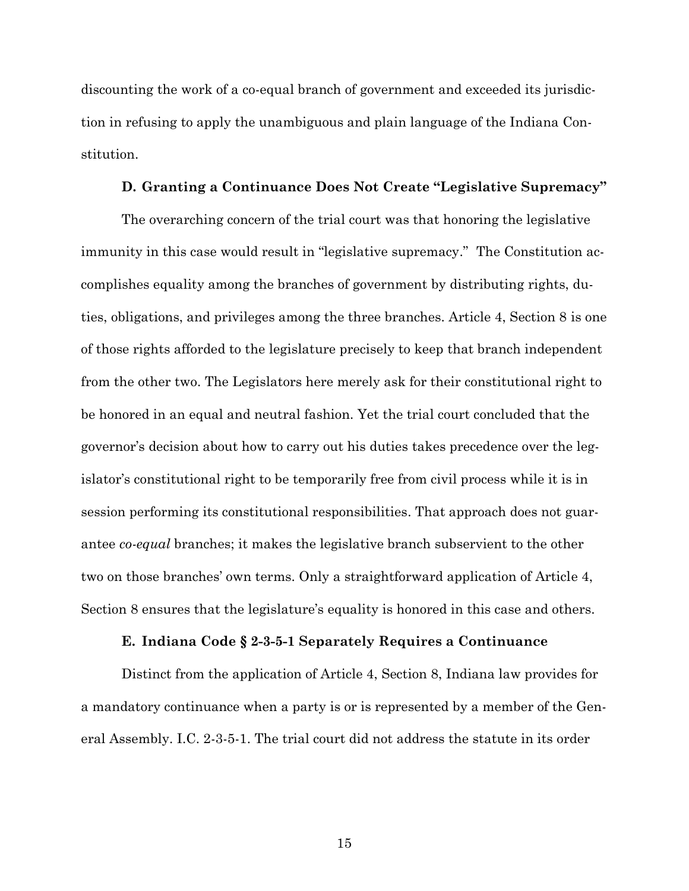discounting the work of a co-equal branch of government and exceeded its jurisdiction in refusing to apply the unambiguous and plain language of the Indiana Constitution.

#### **D. Granting a Continuance Does Not Create "Legislative Supremacy"**

The overarching concern of the trial court was that honoring the legislative immunity in this case would result in "legislative supremacy."The Constitution accomplishes equality among the branches of government by distributing rights, duties, obligations, and privileges among the three branches. Article 4, Section 8 is one of those rights afforded to the legislature precisely to keep that branch independent from the other two. The Legislators here merely ask for their constitutional right to be honored in an equal and neutral fashion. Yet the trial court concluded that the governor's decision about how to carry out his duties takes precedence over the legislator's constitutional right to be temporarily free from civil process while it is in session performing its constitutional responsibilities. That approach does not guarantee *co-equal* branches; it makes the legislative branch subservient to the other two on those branches' own terms. Only a straightforward application of Article 4, Section 8 ensures that the legislature's equality is honored in this case and others.

#### **E. Indiana Code § 2-3-5-1 Separately Requires a Continuance**

Distinct from the application of Article 4, Section 8, Indiana law provides for a mandatory continuance when a party is or is represented by a member of the General Assembly. I.C. 2-3-5-1. The trial court did not address the statute in its order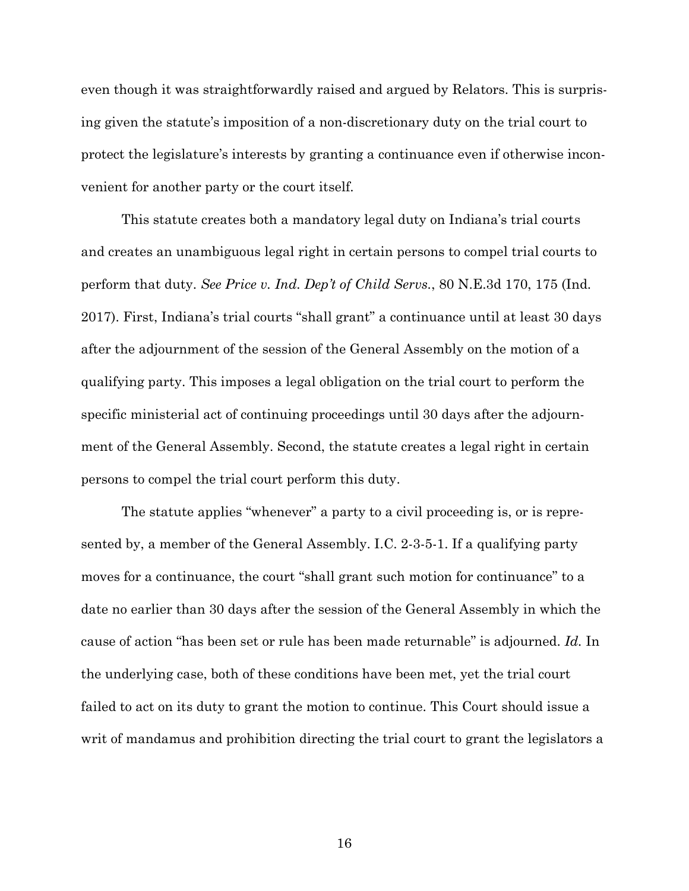even though it was straightforwardly raised and argued by Relators. This is surprising given the statute's imposition of a non-discretionary duty on the trial court to protect the legislature's interests by granting a continuance even if otherwise inconvenient for another party or the court itself.

This statute creates both a mandatory legal duty on Indiana's trial courts and creates an unambiguous legal right in certain persons to compel trial courts to perform that duty. *See Price v. Ind. Dep't of Child Servs.*, 80 N.E.3d 170, 175 (Ind. 2017). First, Indiana's trial courts "shall grant" a continuance until at least 30 days after the adjournment of the session of the General Assembly on the motion of a qualifying party. This imposes a legal obligation on the trial court to perform the specific ministerial act of continuing proceedings until 30 days after the adjournment of the General Assembly. Second, the statute creates a legal right in certain persons to compel the trial court perform this duty.

The statute applies "whenever" a party to a civil proceeding is, or is represented by, a member of the General Assembly. I.C. 2-3-5-1. If a qualifying party moves for a continuance, the court "shall grant such motion for continuance" to a date no earlier than 30 days after the session of the General Assembly in which the cause of action "has been set or rule has been made returnable" is adjourned. *Id.* In the underlying case, both of these conditions have been met, yet the trial court failed to act on its duty to grant the motion to continue. This Court should issue a writ of mandamus and prohibition directing the trial court to grant the legislators a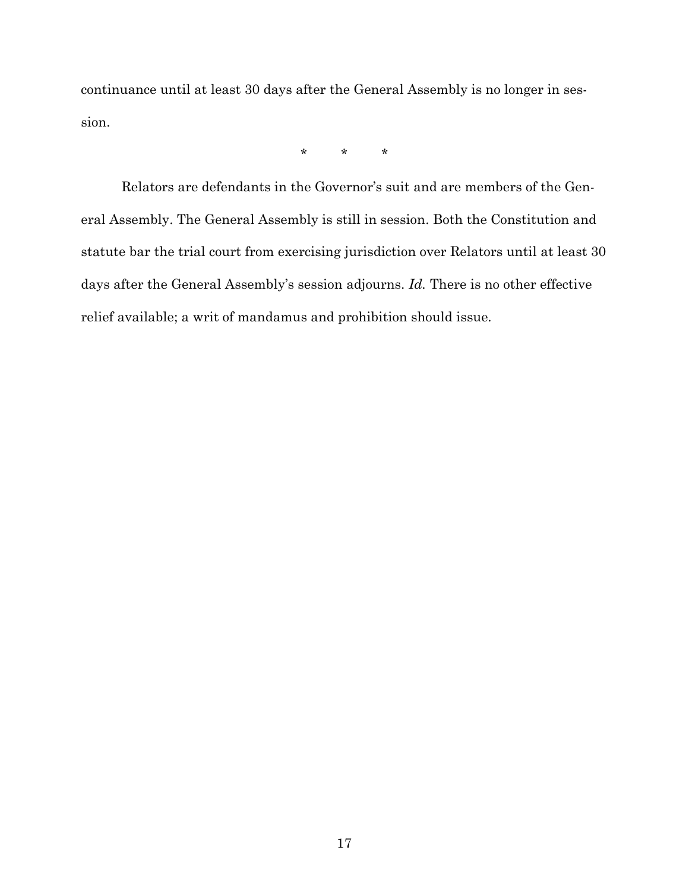continuance until at least 30 days after the General Assembly is no longer in session.

\* \* \*

Relators are defendants in the Governor's suit and are members of the General Assembly. The General Assembly is still in session. Both the Constitution and statute bar the trial court from exercising jurisdiction over Relators until at least 30 days after the General Assembly's session adjourns. *Id.* There is no other effective relief available; a writ of mandamus and prohibition should issue.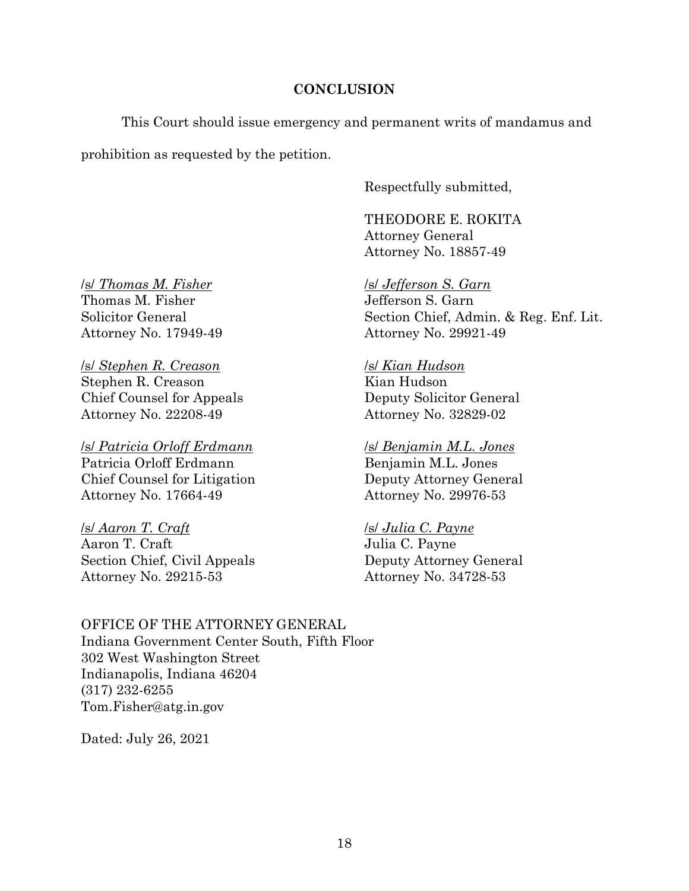# **CONCLUSION**

This Court should issue emergency and permanent writs of mandamus and

prohibition as requested by the petition.

Respectfully submitted,

THEODORE E. ROKITA Attorney General Attorney No. 18857-49

/s/ *Jefferson S. Garn* Jefferson S. Garn Section Chief, Admin. & Reg. Enf. Lit. Attorney No. 29921-49

/s/ *Kian Hudson* Kian Hudson Deputy Solicitor General Attorney No. 32829-02

### /s/ *Benjamin M.L. Jones*

Benjamin M.L. Jones Deputy Attorney General Attorney No. 29976-53

# /s/ *Julia C. Payne*

Julia C. Payne Deputy Attorney General Attorney No. 34728-53

OFFICE OF THE ATTORNEY GENERAL Indiana Government Center South, Fifth Floor 302 West Washington Street Indianapolis, Indiana 46204 (317) 232-6255 Tom.Fisher@atg.in.gov

Dated: July 26, 2021

/s/ *Thomas M. Fisher* Thomas M. Fisher Solicitor General Attorney No. 17949-49

/s/ *Stephen R. Creason* Stephen R. Creason Chief Counsel for Appeals Attorney No. 22208-49

/s/ *Patricia Orloff Erdmann* Patricia Orloff Erdmann Chief Counsel for Litigation Attorney No. 17664-49

/s/ *Aaron T. Craft* Aaron T. Craft Section Chief, Civil Appeals Attorney No. 29215-53